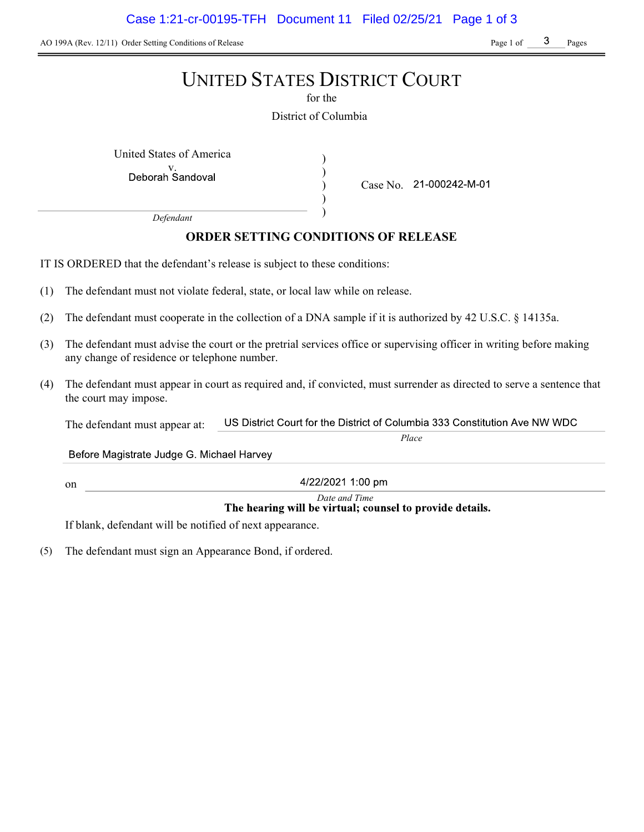AO 199A (Rev. 12/11) Order Setting Conditions of Release Page 1 of Page 1 of Pages

# UNITED STATES DISTRICT COURT

for the

District of Columbia

) ) ) )

United States of America (1992)

Deborah Sandoval

Case No. 21-000242-M-01

Defendant

## ORDER SETTING CONDITIONS OF RELEASE

IT IS ORDERED that the defendant's release is subject to these conditions:

- (1) The defendant must not violate federal, state, or local law while on release.
- (2) The defendant must cooperate in the collection of a DNA sample if it is authorized by 42 U.S.C. § 14135a.
- (3) The defendant must advise the court or the pretrial services office or supervising officer in writing before making any change of residence or telephone number.
- (4) The defendant must appear in court as required and, if convicted, must surrender as directed to serve a sentence that the court may impose.

US District Court for the District of Columbia 333 Constitution Ave NW WDC The defendant must appear at:

Before Magistrate Judge G. Michael Harvey

on

4/22/2021 1:00 pm

# Date and Time<br>The hearing will be virtual; counsel to provide details.

Place

If blank, defendant will be notified of next appearance.

(5) The defendant must sign an Appearance Bond, if ordered.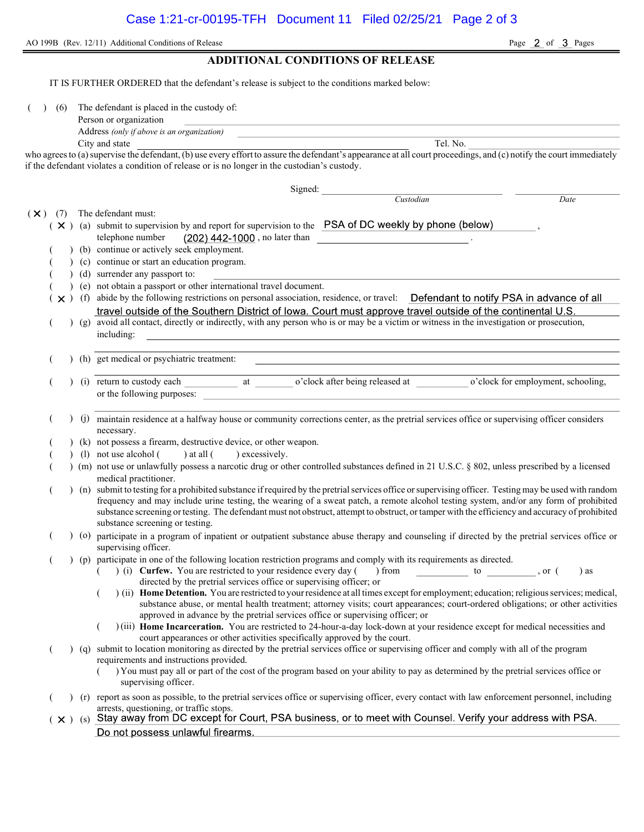AO 199B (Rev. 12/11) Additional Conditions of Release Page 2 of 3 Pages

### ADDITIONAL CONDITIONS OF RELEASE

IT IS FURTHER ORDERED that the defendant's release is subject to the conditions marked below:

( ) (6) The defendant is placed in the custody of:

| Person or organization |  |  |
|------------------------|--|--|
|                        |  |  |

Address (only if above is an organization) City and state Tel. No.

who agrees to (a) supervise the defendant, (b) use every effort to assure the defendant's appearance at all court proceedings, and (c) notify the court immediately if the defendant violates a condition of release or is no longer in the custodian's custody.

|                       |  | Signed:                                                                                                                                                                                                        |
|-----------------------|--|----------------------------------------------------------------------------------------------------------------------------------------------------------------------------------------------------------------|
|                       |  | Custodian<br>Date                                                                                                                                                                                              |
| $(\mathsf{X})$<br>(7) |  | The defendant must:                                                                                                                                                                                            |
|                       |  | ( × ) (a) submit to supervision by and report for supervision to the PSA of DC weekly by phone (below)                                                                                                         |
|                       |  | $(202)$ 442-1000, no later than<br>telephone number                                                                                                                                                            |
|                       |  | (b) continue or actively seek employment.                                                                                                                                                                      |
|                       |  | (c) continue or start an education program.                                                                                                                                                                    |
|                       |  | (d) surrender any passport to:                                                                                                                                                                                 |
|                       |  | (e) not obtain a passport or other international travel document.                                                                                                                                              |
|                       |  | x ) (f) abide by the following restrictions on personal association, residence, or travel: Defendant to notify PSA in advance of all                                                                           |
|                       |  | travel outside of the Southern District of Iowa. Court must approve travel outside of the continental U.S.                                                                                                     |
|                       |  | (g) avoid all contact, directly or indirectly, with any person who is or may be a victim or witness in the investigation or prosecution,                                                                       |
|                       |  | including:                                                                                                                                                                                                     |
|                       |  |                                                                                                                                                                                                                |
|                       |  | (h) get medical or psychiatric treatment:                                                                                                                                                                      |
|                       |  |                                                                                                                                                                                                                |
|                       |  |                                                                                                                                                                                                                |
|                       |  | or the following purposes:                                                                                                                                                                                     |
|                       |  |                                                                                                                                                                                                                |
|                       |  | (j) maintain residence at a halfway house or community corrections center, as the pretrial services office or supervising officer considers                                                                    |
|                       |  | necessary.                                                                                                                                                                                                     |
|                       |  | (k) not possess a firearm, destructive device, or other weapon.                                                                                                                                                |
|                       |  | (1) not use alcohol (<br>$)$ at all $($<br>) excessively.                                                                                                                                                      |
|                       |  | ) (m) not use or unlawfully possess a narcotic drug or other controlled substances defined in 21 U.S.C. § 802, unless prescribed by a licensed                                                                 |
|                       |  | medical practitioner.                                                                                                                                                                                          |
|                       |  | ) (n) submit to testing for a prohibited substance if required by the pretrial services office or supervising officer. Testing may be used with random                                                         |
|                       |  | frequency and may include urine testing, the wearing of a sweat patch, a remote alcohol testing system, and/or any form of prohibited                                                                          |
|                       |  | substance screening or testing. The defendant must not obstruct, attempt to obstruct, or tamper with the efficiency and accuracy of prohibited                                                                 |
|                       |  | substance screening or testing.                                                                                                                                                                                |
|                       |  | ) (o) participate in a program of inpatient or outpatient substance abuse therapy and counseling if directed by the pretrial services office or                                                                |
|                       |  | supervising officer.                                                                                                                                                                                           |
|                       |  | (p) participate in one of the following location restriction programs and comply with its requirements as directed.                                                                                            |
|                       |  | (i) Curfew. You are restricted to your residence every day (<br>) from $\qquad \qquad$<br>to<br>$\alpha$ , or $($<br>) as                                                                                      |
|                       |  | directed by the pretrial services office or supervising officer; or<br>) (ii) Home Detention. You are restricted to your residence at all times except for employment; education; religious services; medical, |
|                       |  | substance abuse, or mental health treatment; attorney visits; court appearances; court-ordered obligations; or other activities                                                                                |
|                       |  | approved in advance by the pretrial services office or supervising officer; or                                                                                                                                 |
|                       |  | )(iii) Home Incarceration. You are restricted to 24-hour-a-day lock-down at your residence except for medical necessities and                                                                                  |
|                       |  | court appearances or other activities specifically approved by the court.                                                                                                                                      |
|                       |  | (q) submit to location monitoring as directed by the pretrial services office or supervising officer and comply with all of the program                                                                        |
|                       |  | requirements and instructions provided.                                                                                                                                                                        |
|                       |  | ) You must pay all or part of the cost of the program based on your ability to pay as determined by the pretrial services office or                                                                            |
|                       |  | supervising officer.                                                                                                                                                                                           |
|                       |  | (r) report as soon as possible, to the pretrial services office or supervising officer, every contact with law enforcement personnel, including                                                                |
|                       |  | arrests, questioning, or traffic stops.                                                                                                                                                                        |
|                       |  | (x) (s) Stay away from DC except for Court, PSA business, or to meet with Counsel. Verify your address with PSA.                                                                                               |
|                       |  | Do not possess unlawful firearms.                                                                                                                                                                              |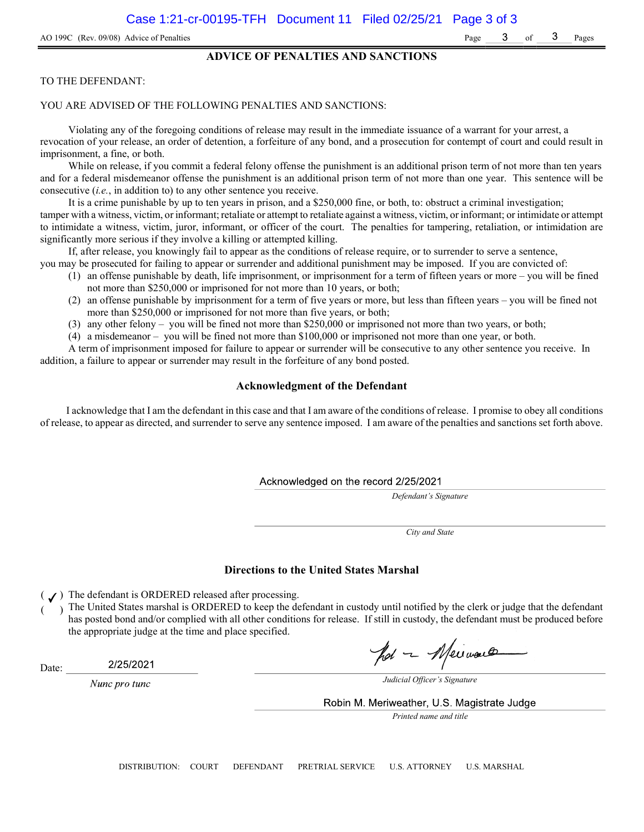#### ADVICE OF PENALTIES AND SANCTIONS

#### TO THE DEFENDANT:

#### YOU ARE ADVISED OF THE FOLLOWING PENALTIES AND SANCTIONS:

Violating any of the foregoing conditions of release may result in the immediate issuance of a warrant for your arrest, a revocation of your release, an order of detention, a forfeiture of any bond, and a prosecution for contempt of court and could result in imprisonment, a fine, or both.

While on release, if you commit a federal felony offense the punishment is an additional prison term of not more than ten years and for a federal misdemeanor offense the punishment is an additional prison term of not more than one year. This sentence will be consecutive (i.e., in addition to) to any other sentence you receive.

It is a crime punishable by up to ten years in prison, and a \$250,000 fine, or both, to: obstruct a criminal investigation; tamper with a witness, victim, or informant; retaliate or attempt to retaliate against a witness, victim, or informant; or intimidate or attempt to intimidate a witness, victim, juror, informant, or officer of the court. The penalties for tampering, retaliation, or intimidation are significantly more serious if they involve a killing or attempted killing.

If, after release, you knowingly fail to appear as the conditions of release require, or to surrender to serve a sentence,

- you may be prosecuted for failing to appear or surrender and additional punishment may be imposed. If you are convicted of: (1) an offense punishable by death, life imprisonment, or imprisonment for a term of fifteen years or more – you will be fined not more than \$250,000 or imprisoned for not more than 10 years, or both;
	- (2) an offense punishable by imprisonment for a term of five years or more, but less than fifteen years you will be fined not more than \$250,000 or imprisoned for not more than five years, or both;
	- (3) any other felony you will be fined not more than \$250,000 or imprisoned not more than two years, or both;
	- (4) a misdemeanor you will be fined not more than \$100,000 or imprisoned not more than one year, or both.

A term of imprisonment imposed for failure to appear or surrender will be consecutive to any other sentence you receive. In addition, a failure to appear or surrender may result in the forfeiture of any bond posted.

#### Acknowledgment of the Defendant

I acknowledge that I am the defendant in this case and that I am aware of the conditions of release. I promise to obey all conditions of release, to appear as directed, and surrender to serve any sentence imposed. I am aware of the penalties and sanctions set forth above.

Acknowledged on the record 2/25/2021

Defendant's Signature

City and State

#### Directions to the United States Marshal

 $($   $J)$  The defendant is ORDERED released after processing.

The United States marshal is ORDERED to keep the defendant in custody until notified by the clerk or judge that the defendant has posted bond and/or complied with all other conditions for release. If still in custody, the defendant must be produced before the appropriate judge at the time and place specified.

pot - Meinaux

Date:

2/25/2021

Nunc pro tunc

Judicial Officer's Signature

Robin M. Meriweather, U.S. Magistrate Judge

Printed name and title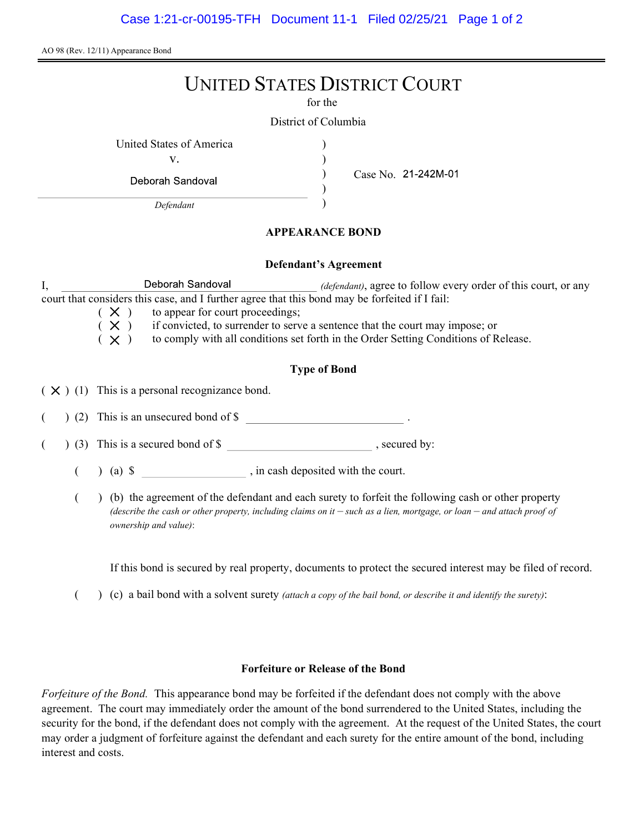AO 98 (Rev. 12/11) Appearance Bond

# UNITED STATES DISTRICT COURT

for the

) ) ) )

District of Columbia

United States of America (1996)

v.

Deborah Sandoval

Defendant

Case No.

### APPEARANCE BOND

#### Defendant's Agreement

I, Deborah Sandoval *(defendant)*, agree to follow every order of this court, or any court that considers this case, and I further agree that this bond may be forfeited if I fail:

 $(X)$  to appear for court proceedings;<br> $(X)$  if convicted, to surrender to serv

if convicted, to surrender to serve a sentence that the court may impose; or

 $(X)$  to comply with all conditions set forth in the Order Setting Conditions of Release.

## Type of Bond

 $(X)$  (1) This is a personal recognizance bond.

(2) This is an unsecured bond of \$

 $($   $)$  (3) This is a secured bond of \$, secured by:

 $($  ) (a)  $\$  , in cash deposited with the court.

( ) (b) the agreement of the defendant and each surety to forfeit the following cash or other property (describe the cash or other property, including claims on it  $-$  such as a lien, mortgage, or loan  $-$  and attach proof of ownership and value):

If this bond is secured by real property, documents to protect the secured interest may be filed of record.

( $\)$  (c) a bail bond with a solvent surety *(attach a copy of the bail bond, or describe it and identify the surety)*:

### Forfeiture or Release of the Bond

Forfeiture of the Bond. This appearance bond may be forfeited if the defendant does not comply with the above agreement. The court may immediately order the amount of the bond surrendered to the United States, including the security for the bond, if the defendant does not comply with the agreement. At the request of the United States, the court may order a judgment of forfeiture against the defendant and each surety for the entire amount of the bond, including interest and costs.